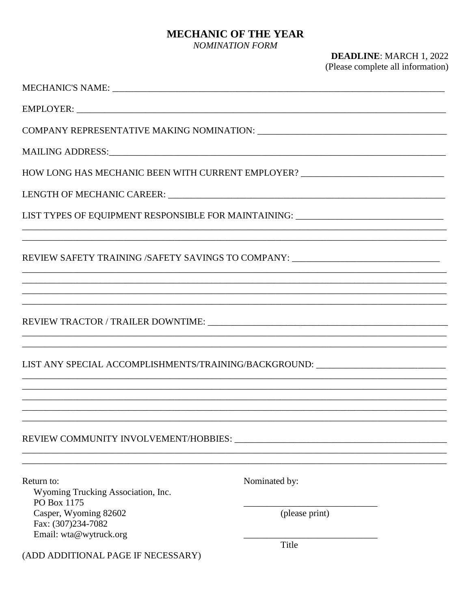## **MECHANIC OF THE YEAR**

NOMINATION FORM

## **DEADLINE: MARCH 1, 2022** (Please complete all information)

| EMPLOYER:                                                                         |                |
|-----------------------------------------------------------------------------------|----------------|
|                                                                                   |                |
|                                                                                   |                |
| HOW LONG HAS MECHANIC BEEN WITH CURRENT EMPLOYER? ______________________________  |                |
|                                                                                   |                |
| LIST TYPES OF EQUIPMENT RESPONSIBLE FOR MAINTAINING: ___________________________  |                |
| REVIEW SAFETY TRAINING /SAFETY SAVINGS TO COMPANY: _____________________________  |                |
| ,我们也不能在这里的人,我们也不能在这里的人,我们也不能在这里的人,我们也不能在这里的人,我们也不能在这里的人,我们也不能在这里的人,我们也不能在这里的人,我们也 |                |
|                                                                                   |                |
|                                                                                   |                |
| LIST ANY SPECIAL ACCOMPLISHMENTS/TRAINING/BACKGROUND: __________________________  |                |
|                                                                                   |                |
|                                                                                   |                |
|                                                                                   |                |
| Return to:<br>Wyoming Trucking Association, Inc.<br>PO Box 1175                   | Nominated by:  |
| Casper, Wyoming 82602<br>Fax: (307)234-7082                                       | (please print) |
| Email: wta@wytruck.org                                                            | Title          |
| (ADD ADDITIONAL PAGE IF NECESSARY)                                                |                |